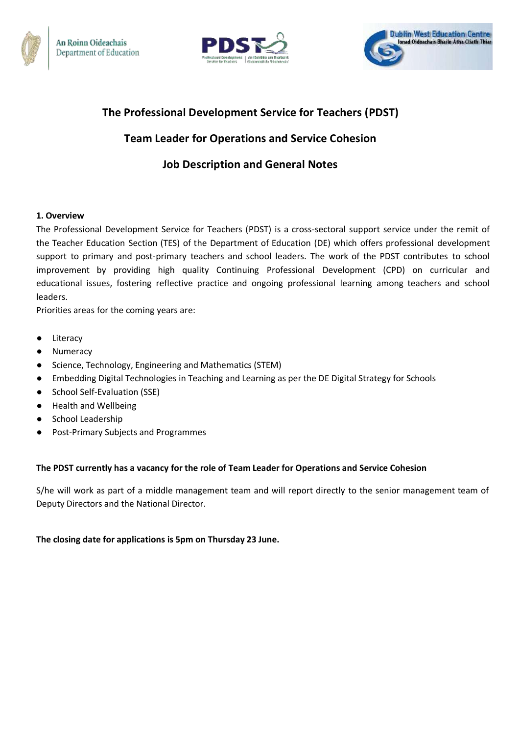





## **The Professional Development Service for Teachers (PDST)**

# **Team Leader for Operations and Service Cohesion**

# **Job Description and General Notes**

## **1. Overview**

The Professional Development Service for Teachers (PDST) is a cross-sectoral support service under the remit of the Teacher Education Section (TES) of the Department of Education (DE) which offers professional development support to primary and post-primary teachers and school leaders. The work of the PDST contributes to school improvement by providing high quality Continuing Professional Development (CPD) on curricular and educational issues, fostering reflective practice and ongoing professional learning among teachers and school leaders.

Priorities areas for the coming years are:

- Literacy
- Numeracy
- Science, Technology, Engineering and Mathematics (STEM)
- Embedding Digital Technologies in Teaching and Learning as per the DE Digital Strategy for Schools
- School Self-Evaluation (SSE)
- Health and Wellbeing
- School Leadership
- Post-Primary Subjects and Programmes

### **The PDST currently has a vacancy for the role of Team Leader for Operations and Service Cohesion**

S/he will work as part of a middle management team and will report directly to the senior management team of Deputy Directors and the National Director.

**The closing date for applications is 5pm on Thursday 23 June.**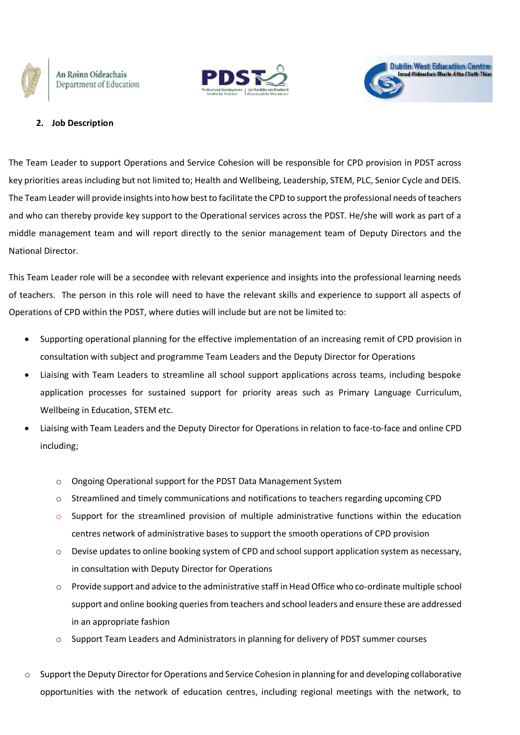





#### **2. Job Description**

The Team Leader to support Operations and Service Cohesion will be responsible for CPD provision in PDST across key priorities areas including but not limited to; Health and Wellbeing, Leadership, STEM, PLC, Senior Cycle and DEIS. The Team Leader will provide insights into how best to facilitate the CPD to support the professional needs of teachers and who can thereby provide key support to the Operational services across the PDST. He/she will work as part of a middle management team and will report directly to the senior management team of Deputy Directors and the National Director.

This Team Leader role will be a secondee with relevant experience and insights into the professional learning needs of teachers. The person in this role will need to have the relevant skills and experience to support all aspects of Operations of CPD within the PDST, where duties will include but are not be limited to:

- Supporting operational planning for the effective implementation of an increasing remit of CPD provision in consultation with subject and programme Team Leaders and the Deputy Director for Operations
- Liaising with Team Leaders to streamline all school support applications across teams, including bespoke application processes for sustained support for priority areas such as Primary Language Curriculum, Wellbeing in Education, STEM etc.
- Liaising with Team Leaders and the Deputy Director for Operations in relation to face-to-face and online CPD including;
	- o Ongoing Operational support for the PDST Data Management System
	- o Streamlined and timely communications and notifications to teachers regarding upcoming CPD
	- $\circ$  Support for the streamlined provision of multiple administrative functions within the education centres network of administrative bases to support the smooth operations of CPD provision
	- $\circ$  Devise updates to online booking system of CPD and school support application system as necessary, in consultation with Deputy Director for Operations
	- o Provide support and advice to the administrative staff in Head Office who co-ordinate multiple school support and online booking queries from teachers and school leaders and ensure these are addressed in an appropriate fashion
	- $\circ$  Support Team Leaders and Administrators in planning for delivery of PDST summer courses
- o Support the Deputy Director for Operations and Service Cohesion in planning for and developing collaborative opportunities with the network of education centres, including regional meetings with the network, to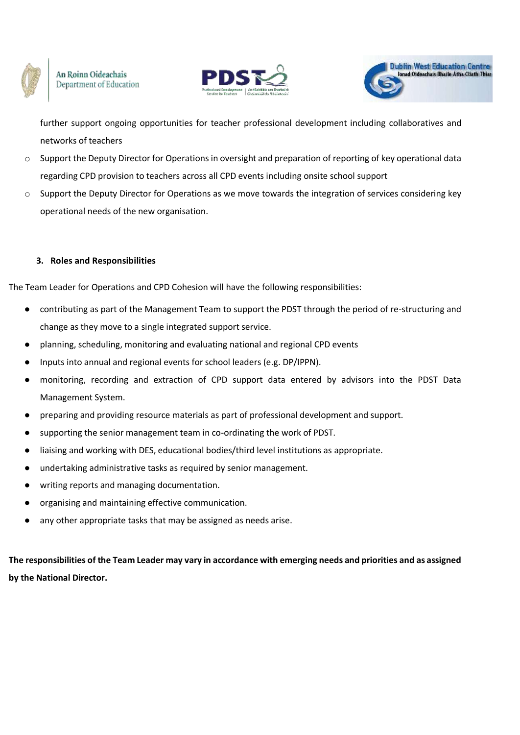





further support ongoing opportunities for teacher professional development including collaboratives and networks of teachers

- o Support the Deputy Director for Operations in oversight and preparation of reporting of key operational data regarding CPD provision to teachers across all CPD events including onsite school support
- $\circ$  Support the Deputy Director for Operations as we move towards the integration of services considering key operational needs of the new organisation.

### **3. Roles and Responsibilities**

The Team Leader for Operations and CPD Cohesion will have the following responsibilities:

- contributing as part of the Management Team to support the PDST through the period of re-structuring and change as they move to a single integrated support service.
- planning, scheduling, monitoring and evaluating national and regional CPD events
- Inputs into annual and regional events for school leaders (e.g. DP/IPPN).
- monitoring, recording and extraction of CPD support data entered by advisors into the PDST Data Management System.
- preparing and providing resource materials as part of professional development and support.
- supporting the senior management team in co-ordinating the work of PDST.
- liaising and working with DES, educational bodies/third level institutions as appropriate.
- undertaking administrative tasks as required by senior management.
- writing reports and managing documentation.
- organising and maintaining effective communication.
- any other appropriate tasks that may be assigned as needs arise.

**The responsibilities of the Team Leader may vary in accordance with emerging needs and priorities and as assigned by the National Director.**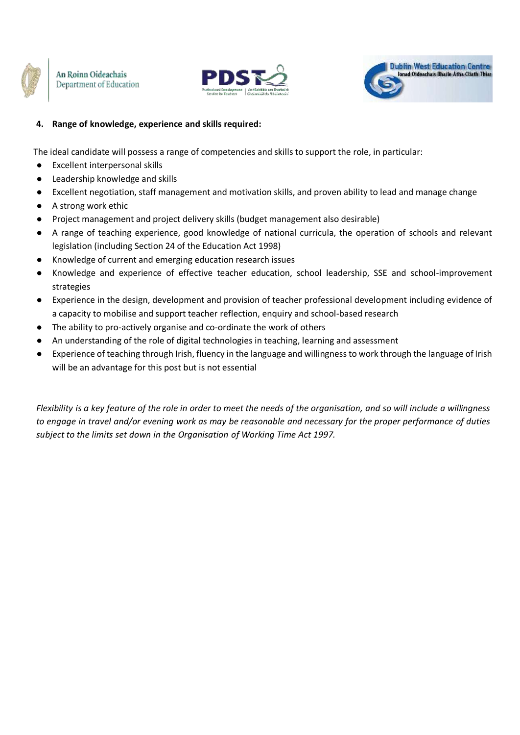





## **4. Range of knowledge, experience and skills required:**

The ideal candidate will possess a range of competencies and skills to support the role, in particular:

- Excellent interpersonal skills
- Leadership knowledge and skills
- Excellent negotiation, staff management and motivation skills, and proven ability to lead and manage change
- A strong work ethic
- Project management and project delivery skills (budget management also desirable)
- A range of teaching experience, good knowledge of national curricula, the operation of schools and relevant legislation (including Section 24 of the Education Act 1998)
- Knowledge of current and emerging education research issues
- Knowledge and experience of effective teacher education, school leadership, SSE and school-improvement strategies
- Experience in the design, development and provision of teacher professional development including evidence of a capacity to mobilise and support teacher reflection, enquiry and school-based research
- The ability to pro-actively organise and co-ordinate the work of others
- An understanding of the role of digital technologies in teaching, learning and assessment
- Experience of teaching through Irish, fluency in the language and willingness to work through the language of Irish will be an advantage for this post but is not essential

Flexibility is a key feature of the role in order to meet the needs of the organisation, and so will include a willingness *to engage in travel and/or evening work as may be reasonable and necessary for the proper performance of duties subject to the limits set down in the Organisation of Working Time Act 1997.*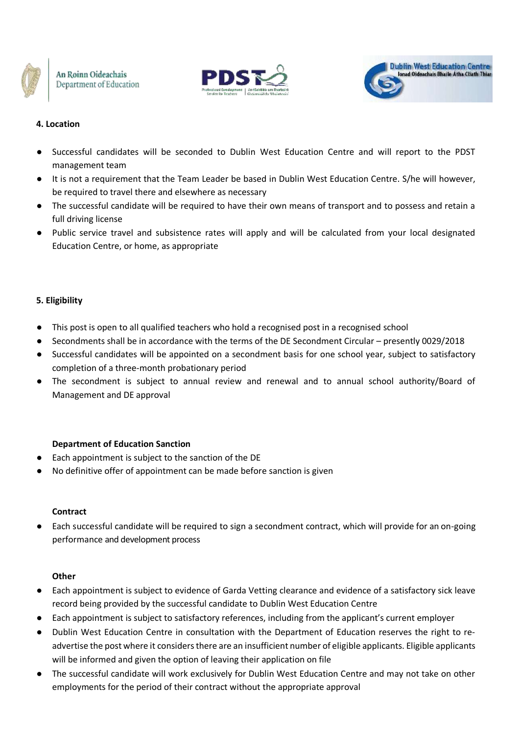





## **4. Location**

- Successful candidates will be seconded to Dublin West Education Centre and will report to the PDST management team
- It is not a requirement that the Team Leader be based in Dublin West Education Centre. S/he will however, be required to travel there and elsewhere as necessary
- The successful candidate will be required to have their own means of transport and to possess and retain a full driving license
- Public service travel and subsistence rates will apply and will be calculated from your local designated Education Centre, or home, as appropriate

### **5. Eligibility**

- This post is open to all qualified teachers who hold a recognised post in a recognised school
- Secondments shall be in accordance with the terms of the DE Secondment Circular presently 0029/2018
- Successful candidates will be appointed on a secondment basis for one school year, subject to satisfactory completion of a three‐month probationary period
- The secondment is subject to annual review and renewal and to annual school authority/Board of Management and DE approval

### **Department of Education Sanction**

- Each appointment is subject to the sanction of the DE
- No definitive offer of appointment can be made before sanction is given

#### **Contract**

Each successful candidate will be required to sign a secondment contract, which will provide for an on-going performance and development process

#### **Other**

- Each appointment is subject to evidence of Garda Vetting clearance and evidence of a satisfactory sick leave record being provided by the successful candidate to Dublin West Education Centre
- Each appointment is subject to satisfactory references, including from the applicant's current employer
- Dublin West Education Centre in consultation with the Department of Education reserves the right to readvertise the post where it considers there are an insufficient number of eligible applicants. Eligible applicants will be informed and given the option of leaving their application on file
- The successful candidate will work exclusively for Dublin West Education Centre and may not take on other employments for the period of their contract without the appropriate approval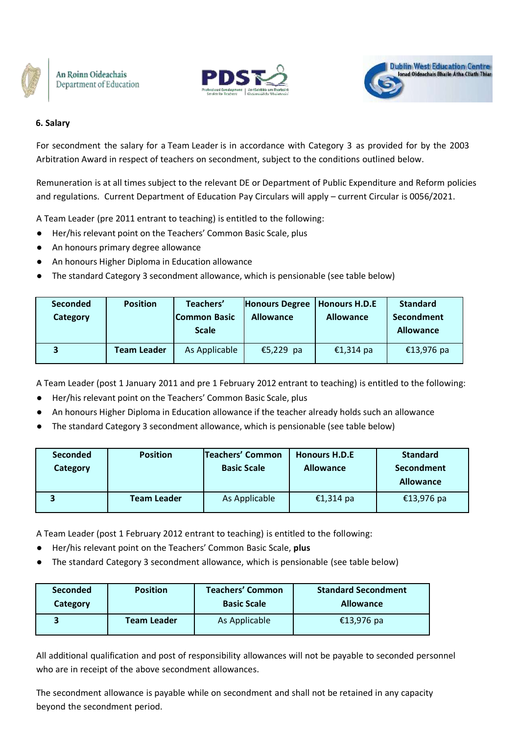





#### **6. Salary**

For secondment the salary for a Team Leader is in accordance with Category 3 as provided for by the 2003 Arbitration Award in respect of teachers on secondment, subject to the conditions outlined below.

Remuneration is at all times subject to the relevant DE or Department of Public Expenditure and Reform policies and regulations. Current Department of Education Pay Circulars will apply – current Circular is 0056/2021.

A Team Leader (pre 2011 entrant to teaching) is entitled to the following:

- Her/his relevant point on the Teachers' Common Basic Scale, plus
- An honours primary degree allowance
- An honours Higher Diploma in Education allowance
- The standard Category 3 secondment allowance, which is pensionable (see table below)

| <b>Seconded</b><br>Category | <b>Position</b>    | Teachers'<br>Common Basic<br><b>Scale</b> | <b>Honours Degree</b><br><b>Allowance</b> | <b>Honours H.D.E</b><br><b>Allowance</b> | <b>Standard</b><br>Secondment<br><b>Allowance</b> |
|-----------------------------|--------------------|-------------------------------------------|-------------------------------------------|------------------------------------------|---------------------------------------------------|
|                             | <b>Team Leader</b> | As Applicable                             | €5,229 pa                                 | €1,314 pa                                | €13,976 pa                                        |

A Team Leader (post 1 January 2011 and pre 1 February 2012 entrant to teaching) is entitled to the following:

- Her/his relevant point on the Teachers' Common Basic Scale, plus
- An honours Higher Diploma in Education allowance if the teacher already holds such an allowance
- The standard Category 3 secondment allowance, which is pensionable (see table below)

| <b>Seconded</b><br>Category | <b>Position</b>    | Teachers' Common<br><b>Basic Scale</b> | <b>Honours H.D.E</b><br><b>Allowance</b> | <b>Standard</b><br>Secondment<br><b>Allowance</b> |
|-----------------------------|--------------------|----------------------------------------|------------------------------------------|---------------------------------------------------|
|                             | <b>Team Leader</b> | As Applicable                          | €1,314 pa                                | €13,976 pa                                        |

A Team Leader (post 1 February 2012 entrant to teaching) is entitled to the following:

- Her/his relevant point on the Teachers' Common Basic Scale, **plus**
- The standard Category 3 secondment allowance, which is pensionable (see table below)

| <b>Seconded</b> | <b>Position</b>    | <b>Teachers' Common</b> | <b>Standard Secondment</b> |
|-----------------|--------------------|-------------------------|----------------------------|
| Category        |                    | <b>Basic Scale</b>      | <b>Allowance</b>           |
|                 | <b>Team Leader</b> | As Applicable           | €13,976 pa                 |

All additional qualification and post of responsibility allowances will not be payable to seconded personnel who are in receipt of the above secondment allowances.

The secondment allowance is payable while on secondment and shall not be retained in any capacity beyond the secondment period.